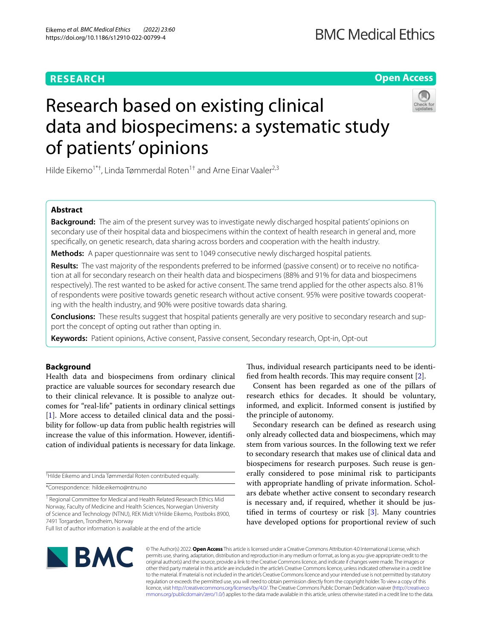## **RESEARCH**

**Open Access**

# Research based on existing clinical data and biospecimens: a systematic study of patients' opinions

Hilde Eikemo<sup>1\*†</sup>, Linda Tømmerdal Roten<sup>1†</sup> and Arne Einar Vaaler<sup>2,3</sup>

## **Abstract**

**Background:** The aim of the present survey was to investigate newly discharged hospital patients' opinions on secondary use of their hospital data and biospecimens within the context of health research in general and, more specifcally, on genetic research, data sharing across borders and cooperation with the health industry.

**Methods:** A paper questionnaire was sent to 1049 consecutive newly discharged hospital patients.

**Results:** The vast majority of the respondents preferred to be informed (passive consent) or to receive no notifcation at all for secondary research on their health data and biospecimens (88% and 91% for data and biospecimens respectively). The rest wanted to be asked for active consent. The same trend applied for the other aspects also. 81% of respondents were positive towards genetic research without active consent. 95% were positive towards cooperating with the health industry, and 90% were positive towards data sharing.

**Conclusions:** These results suggest that hospital patients generally are very positive to secondary research and support the concept of opting out rather than opting in.

**Keywords:** Patient opinions, Active consent, Passive consent, Secondary research, Opt-in, Opt-out

## **Background**

Health data and biospecimens from ordinary clinical practice are valuable sources for secondary research due to their clinical relevance. It is possible to analyze outcomes for "real-life" patients in ordinary clinical settings [[1\]](#page-7-0). More access to detailed clinical data and the possibility for follow-up data from public health registries will increase the value of this information. However, identifcation of individual patients is necessary for data linkage.

† Hilde Eikemo and Linda Tømmerdal Roten contributed equally.

\*Correspondence: hilde.eikemo@ntnu.no

<sup>1</sup> Regional Committee for Medical and Health Related Research Ethics Mid Norway, Faculty of Medicine and Health Sciences, Norwegian University of Science and Technology (NTNU), REK Midt V/Hilde Eikemo, Postboks 8900, 7491 Torgarden, Trondheim, Norway Full list of author information is available at the end of the article

Thus, individual research participants need to be identified from health records. This may require consent  $[2]$  $[2]$ .

Consent has been regarded as one of the pillars of research ethics for decades. It should be voluntary, informed, and explicit. Informed consent is justifed by the principle of autonomy.

Secondary research can be defned as research using only already collected data and biospecimens, which may stem from various sources. In the following text we refer to secondary research that makes use of clinical data and biospecimens for research purposes. Such reuse is generally considered to pose minimal risk to participants with appropriate handling of private information. Scholars debate whether active consent to secondary research is necessary and, if required, whether it should be justifed in terms of courtesy or risk [[3\]](#page-7-2). Many countries have developed options for proportional review of such



© The Author(s) 2022. **Open Access** This article is licensed under a Creative Commons Attribution 4.0 International License, which permits use, sharing, adaptation, distribution and reproduction in any medium or format, as long as you give appropriate credit to the original author(s) and the source, provide a link to the Creative Commons licence, and indicate if changes were made. The images or other third party material in this article are included in the article's Creative Commons licence, unless indicated otherwise in a credit line to the material. If material is not included in the article's Creative Commons licence and your intended use is not permitted by statutory regulation or exceeds the permitted use, you will need to obtain permission directly from the copyright holder. To view a copy of this licence, visit [http://creativecommons.org/licenses/by/4.0/.](http://creativecommons.org/licenses/by/4.0/) The Creative Commons Public Domain Dedication waiver ([http://creativeco](http://creativecommons.org/publicdomain/zero/1.0/) [mmons.org/publicdomain/zero/1.0/](http://creativecommons.org/publicdomain/zero/1.0/)) applies to the data made available in this article, unless otherwise stated in a credit line to the data.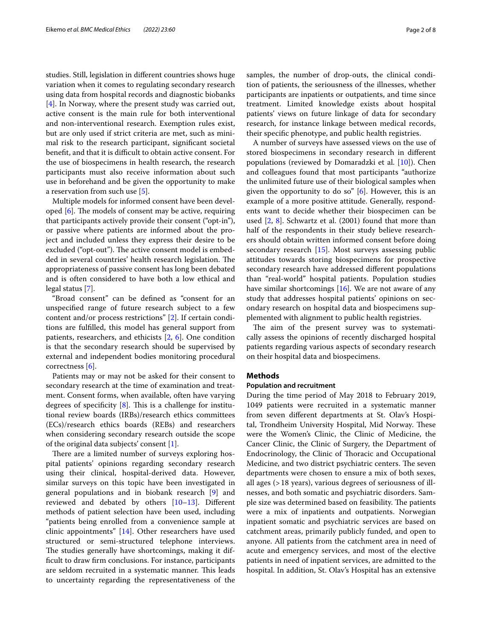studies. Still, legislation in diferent countries shows huge variation when it comes to regulating secondary research using data from hospital records and diagnostic biobanks [[4\]](#page-7-3). In Norway, where the present study was carried out, active consent is the main rule for both interventional and non-interventional research. Exemption rules exist, but are only used if strict criteria are met, such as minimal risk to the research participant, signifcant societal benefit, and that it is difficult to obtain active consent. For the use of biospecimens in health research, the research participants must also receive information about such use in beforehand and be given the opportunity to make a reservation from such use [[5\]](#page-7-4).

Multiple models for informed consent have been developed  $[6]$  $[6]$ . The models of consent may be active, requiring that participants actively provide their consent ("opt-in"), or passive where patients are informed about the project and included unless they express their desire to be excluded ("opt-out"). The active consent model is embedded in several countries' health research legislation. The appropriateness of passive consent has long been debated and is often considered to have both a low ethical and legal status [\[7](#page-7-6)].

"Broad consent" can be defned as "consent for an unspecifed range of future research subject to a few content and/or process restrictions" [[2\]](#page-7-1). If certain conditions are fulflled, this model has general support from patients, researchers, and ethicists [\[2](#page-7-1), [6\]](#page-7-5). One condition is that the secondary research should be supervised by external and independent bodies monitoring procedural correctness [\[6](#page-7-5)].

Patients may or may not be asked for their consent to secondary research at the time of examination and treatment. Consent forms, when available, often have varying degrees of specificity  $[8]$  $[8]$ . This is a challenge for institutional review boards (IRBs)/research ethics committees (ECs)/research ethics boards (REBs) and researchers when considering secondary research outside the scope of the original data subjects' consent [[1\]](#page-7-0).

There are a limited number of surveys exploring hospital patients' opinions regarding secondary research using their clinical, hospital-derived data. However, similar surveys on this topic have been investigated in general populations and in biobank research [[9\]](#page-7-8) and reviewed and debated by others [[10](#page-7-9)[–13](#page-7-10)]. Diferent methods of patient selection have been used, including "patients being enrolled from a convenience sample at clinic appointments" [\[14](#page-7-11)]. Other researchers have used structured or semi-structured telephone interviews. The studies generally have shortcomings, making it diffcult to draw frm conclusions. For instance, participants are seldom recruited in a systematic manner. This leads to uncertainty regarding the representativeness of the samples, the number of drop-outs, the clinical condition of patients, the seriousness of the illnesses, whether participants are inpatients or outpatients, and time since treatment. Limited knowledge exists about hospital patients' views on future linkage of data for secondary research, for instance linkage between medical records, their specifc phenotype, and public health registries.

A number of surveys have assessed views on the use of stored biospecimens in secondary research in diferent populations (reviewed by Domaradzki et al. [[10](#page-7-9)]). Chen and colleagues found that most participants "authorize the unlimited future use of their biological samples when given the opportunity to do so"  $[6]$  $[6]$ . However, this is an example of a more positive attitude. Generally, respondents want to decide whether their biospecimen can be used [\[2](#page-7-1), [8\]](#page-7-7). Schwartz et al. (2001) found that more than half of the respondents in their study believe researchers should obtain written informed consent before doing secondary research [\[15](#page-7-12)]. Most surveys assessing public attitudes towards storing biospecimens for prospective secondary research have addressed diferent populations than "real-world" hospital patients. Population studies have similar shortcomings  $[16]$  $[16]$ . We are not aware of any study that addresses hospital patients' opinions on secondary research on hospital data and biospecimens supplemented with alignment to public health registries.

The aim of the present survey was to systematically assess the opinions of recently discharged hospital patients regarding various aspects of secondary research on their hospital data and biospecimens.

## **Methods**

## **Population and recruitment**

During the time period of May 2018 to February 2019, 1049 patients were recruited in a systematic manner from seven diferent departments at St. Olav's Hospital, Trondheim University Hospital, Mid Norway. These were the Women's Clinic, the Clinic of Medicine, the Cancer Clinic, the Clinic of Surgery, the Department of Endocrinology, the Clinic of Thoracic and Occupational Medicine, and two district psychiatric centers. The seven departments were chosen to ensure a mix of both sexes, all ages (>18 years), various degrees of seriousness of illnesses, and both somatic and psychiatric disorders. Sample size was determined based on feasibility. The patients were a mix of inpatients and outpatients. Norwegian inpatient somatic and psychiatric services are based on catchment areas, primarily publicly funded, and open to anyone. All patients from the catchment area in need of acute and emergency services, and most of the elective patients in need of inpatient services, are admitted to the hospital. In addition, St. Olav's Hospital has an extensive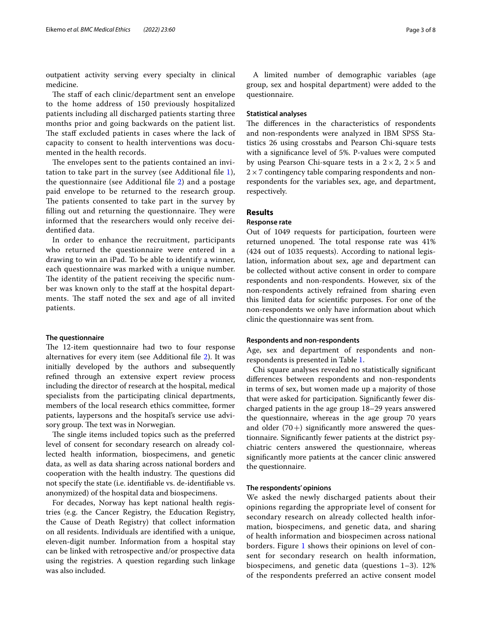outpatient activity serving every specialty in clinical medicine.

The staff of each clinic/department sent an envelope to the home address of 150 previously hospitalized patients including all discharged patients starting three months prior and going backwards on the patient list. The staff excluded patients in cases where the lack of capacity to consent to health interventions was documented in the health records.

The envelopes sent to the patients contained an invitation to take part in the survey (see Additional fle [1\)](#page-6-0), the questionnaire (see Additional fle [2\)](#page-6-1) and a postage paid envelope to be returned to the research group. The patients consented to take part in the survey by filling out and returning the questionnaire. They were informed that the researchers would only receive deidentifed data.

In order to enhance the recruitment, participants who returned the questionnaire were entered in a drawing to win an iPad. To be able to identify a winner, each questionnaire was marked with a unique number. The identity of the patient receiving the specific number was known only to the staff at the hospital departments. The staff noted the sex and age of all invited patients.

### **The questionnaire**

The 12-item questionnaire had two to four response alternatives for every item (see Additional fle [2\)](#page-6-1). It was initially developed by the authors and subsequently refned through an extensive expert review process including the director of research at the hospital, medical specialists from the participating clinical departments, members of the local research ethics committee, former patients, laypersons and the hospital's service use advisory group. The text was in Norwegian.

The single items included topics such as the preferred level of consent for secondary research on already collected health information, biospecimens, and genetic data, as well as data sharing across national borders and cooperation with the health industry. The questions did not specify the state (i.e. identifable vs. de-identifable vs. anonymized) of the hospital data and biospecimens.

For decades, Norway has kept national health registries (e.g. the Cancer Registry, the Education Registry, the Cause of Death Registry) that collect information on all residents. Individuals are identifed with a unique, eleven-digit number. Information from a hospital stay can be linked with retrospective and/or prospective data using the registries. A question regarding such linkage was also included.

A limited number of demographic variables (age group, sex and hospital department) were added to the questionnaire.

## **Statistical analyses**

The differences in the characteristics of respondents and non-respondents were analyzed in IBM SPSS Statistics 26 using crosstabs and Pearson Chi-square tests with a signifcance level of 5%. P-values were computed by using Pearson Chi-square tests in a  $2 \times 2$ ,  $2 \times 5$  and  $2 \times 7$  contingency table comparing respondents and nonrespondents for the variables sex, age, and department, respectively.

## **Results**

## **Response rate**

Out of 1049 requests for participation, fourteen were returned unopened. The total response rate was 41% (424 out of 1035 requests). According to national legislation, information about sex, age and department can be collected without active consent in order to compare respondents and non-respondents. However, six of the non-respondents actively refrained from sharing even this limited data for scientifc purposes. For one of the non-respondents we only have information about which clinic the questionnaire was sent from.

### **Respondents and non‑respondents**

Age, sex and department of respondents and nonrespondents is presented in Table [1](#page-3-0).

Chi square analyses revealed no statistically signifcant diferences between respondents and non-respondents in terms of sex, but women made up a majority of those that were asked for participation. Signifcantly fewer discharged patients in the age group 18–29 years answered the questionnaire, whereas in the age group 70 years and older  $(70+)$  significantly more answered the questionnaire. Signifcantly fewer patients at the district psychiatric centers answered the questionnaire, whereas signifcantly more patients at the cancer clinic answered the questionnaire.

#### **The respondents' opinions**

We asked the newly discharged patients about their opinions regarding the appropriate level of consent for secondary research on already collected health information, biospecimens, and genetic data, and sharing of health information and biospecimen across national borders. Figure [1](#page-3-1) shows their opinions on level of consent for secondary research on health information, biospecimens, and genetic data (questions 1–3). 12% of the respondents preferred an active consent model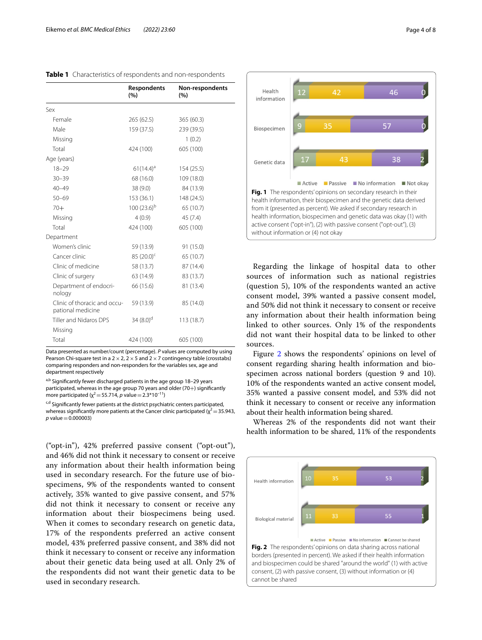|                                                   | <b>Respondents</b><br>(%) | Non-respondents<br>(%) |
|---------------------------------------------------|---------------------------|------------------------|
| Sex                                               |                           |                        |
| Female                                            | 265(62.5)                 | 365 (60.3)             |
| Male                                              | 159 (37.5)                | 239 (39.5)             |
| Missing                                           |                           | 1(0.2)                 |
| Total                                             | 424 (100)                 | 605 (100)              |
| Age (years)                                       |                           |                        |
| $18 - 29$                                         | $61(14.4)^a$              | 154(25.5)              |
| $30 - 39$                                         | 68 (16.0)                 | 109 (18.0)             |
| $40 - 49$                                         | 38 (9.0)                  | 84 (13.9)              |
| $50 - 69$                                         | 153 (36.1)                | 148 (24.5)             |
| $70+$                                             | $100(23.6)^{b}$           | 65 (10.7)              |
| Missing                                           | 4(0.9)                    | 45 (7.4)               |
| Total                                             | 424 (100)                 | 605 (100)              |
| Department                                        |                           |                        |
| Women's clinic                                    | 59 (13.9)                 | 91 (15.0)              |
| Cancer clinic                                     | $85(20.0)^c$              | 65 (10.7)              |
| Clinic of medicine                                | 58 (13.7)                 | 87 (14.4)              |
| Clinic of surgery                                 | 63 (14.9)                 | 83 (13.7)              |
| Department of endocri-<br>nology                  | 66 (15.6)                 | 81 (13.4)              |
| Clinic of thoracic and occu-<br>pational medicine | 59 (13.9)                 | 85 (14.0)              |
| Tiller and Nidaros DPS                            | 34 $(8.0)^d$              | 113(18.7)              |
| Missing                                           |                           |                        |
| Total                                             | 424 (100)                 | 605 (100)              |
|                                                   |                           |                        |

<span id="page-3-0"></span>**Table 1** Characteristics of respondents and non-respondents

Data presented as number/count (percentage). *P* values are computed by using Pearson Chi-square test in a  $2 \times 2$ ,  $2 \times 5$  and  $2 \times 7$  contingency table (crosstabs) comparing responders and non-responders for the variables sex, age and department respectively

a,b Significantly fewer discharged patients in the age group 18-29 years participated, whereas in the age group 70 years and older (70+) significantly more participated ( $\chi^2$  = 55.714, *p* value = 2.3\*10<sup>-11</sup>)

c,d Significantly fewer patients at the district psychiatric centers participated, whereas significantly more patients at the Cancer clinic participated ( $\chi^2$  = 35.943, *p* value=0.000003)

("opt-in"), 42% preferred passive consent ("opt-out"), and 46% did not think it necessary to consent or receive any information about their health information being used in secondary research. For the future use of biospecimens, 9% of the respondents wanted to consent actively, 35% wanted to give passive consent, and 57% did not think it necessary to consent or receive any information about their biospecimens being used. When it comes to secondary research on genetic data, 17% of the respondents preferred an active consent model, 43% preferred passive consent, and 38% did not think it necessary to consent or receive any information about their genetic data being used at all. Only 2% of the respondents did not want their genetic data to be used in secondary research.



<span id="page-3-1"></span>**Fig. 1** The respondents' opinions on secondary research in their health information, their biospecimen and the genetic data derived from it (presented as percent). We asked if secondary research in health information, biospecimen and genetic data was okay (1) with active consent ("opt-in"), (2) with passive consent ("opt-out"), (3) without information or (4) not okay

Regarding the linkage of hospital data to other sources of information such as national registries (question 5), 10% of the respondents wanted an active consent model, 39% wanted a passive consent model, and 50% did not think it necessary to consent or receive any information about their health information being linked to other sources. Only 1% of the respondents did not want their hospital data to be linked to other sources.

Figure [2](#page-3-2) shows the respondents' opinions on level of consent regarding sharing health information and biospecimen across national borders (question 9 and 10). 10% of the respondents wanted an active consent model, 35% wanted a passive consent model, and 53% did not think it necessary to consent or receive any information about their health information being shared.

Whereas 2% of the respondents did not want their health information to be shared, 11% of the respondents

<span id="page-3-2"></span>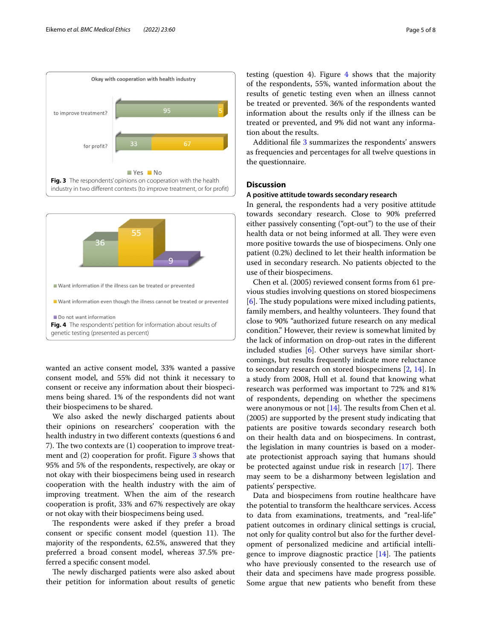



<span id="page-4-0"></span>

<span id="page-4-1"></span>wanted an active consent model, 33% wanted a passive consent model, and 55% did not think it necessary to consent or receive any information about their biospecimens being shared. 1% of the respondents did not want their biospecimens to be shared.

We also asked the newly discharged patients about their opinions on researchers' cooperation with the health industry in two diferent contexts (questions 6 and 7). The two contexts are  $(1)$  cooperation to improve treatment and (2) cooperation for proft. Figure [3](#page-4-0) shows that 95% and 5% of the respondents, respectively, are okay or not okay with their biospecimens being used in research cooperation with the health industry with the aim of improving treatment. When the aim of the research cooperation is proft, 33% and 67% respectively are okay or not okay with their biospecimens being used.

The respondents were asked if they prefer a broad consent or specific consent model (question 11). The majority of the respondents, 62.5%, answered that they preferred a broad consent model, whereas 37.5% preferred a specifc consent model.

The newly discharged patients were also asked about their petition for information about results of genetic testing (question 4). Figure  $4$  shows that the majority of the respondents, 55%, wanted information about the results of genetic testing even when an illness cannot be treated or prevented. 36% of the respondents wanted information about the results only if the illness can be treated or prevented, and 9% did not want any information about the results.

Additional fle [3](#page-6-2) summarizes the respondents' answers as frequencies and percentages for all twelve questions in the questionnaire.

## **Discussion**

## **A positive attitude towards secondary research**

In general, the respondents had a very positive attitude towards secondary research. Close to 90% preferred either passively consenting ("opt-out") to the use of their health data or not being informed at all. They were even more positive towards the use of biospecimens. Only one patient (0.2%) declined to let their health information be used in secondary research. No patients objected to the use of their biospecimens.

Chen et al. (2005) reviewed consent forms from 61 previous studies involving questions on stored biospecimens  $[6]$  $[6]$ . The study populations were mixed including patients, family members, and healthy volunteers. They found that close to 90% "authorized future research on any medical condition." However, their review is somewhat limited by the lack of information on drop-out rates in the diferent included studies [\[6](#page-7-5)]. Other surveys have similar shortcomings, but results frequently indicate more reluctance to secondary research on stored biospecimens [[2,](#page-7-1) [14\]](#page-7-11). In a study from 2008, Hull et al. found that knowing what research was performed was important to 72% and 81% of respondents, depending on whether the specimens were anonymous or not  $[14]$  $[14]$ . The results from Chen et al. (2005) are supported by the present study indicating that patients are positive towards secondary research both on their health data and on biospecimens. In contrast, the legislation in many countries is based on a moderate protectionist approach saying that humans should be protected against undue risk in research  $[17]$  $[17]$ . There may seem to be a disharmony between legislation and patients' perspective.

Data and biospecimens from routine healthcare have the potential to transform the healthcare services. Access to data from examinations, treatments, and "real-life" patient outcomes in ordinary clinical settings is crucial, not only for quality control but also for the further development of personalized medicine and artifcial intelligence to improve diagnostic practice  $[14]$  $[14]$  $[14]$ . The patients who have previously consented to the research use of their data and specimens have made progress possible. Some argue that new patients who beneft from these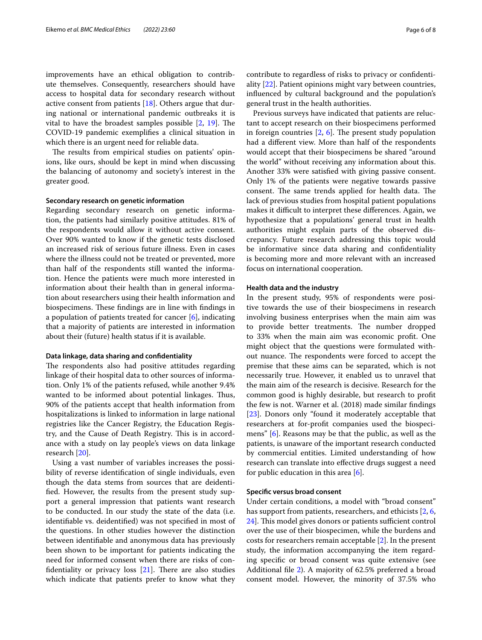improvements have an ethical obligation to contribute themselves. Consequently, researchers should have access to hospital data for secondary research without active consent from patients [\[18](#page-7-15)]. Others argue that during national or international pandemic outbreaks it is vital to have the broadest samples possible  $[2, 19]$  $[2, 19]$  $[2, 19]$ . The COVID-19 pandemic exemplifes a clinical situation in which there is an urgent need for reliable data.

The results from empirical studies on patients' opinions, like ours, should be kept in mind when discussing the balancing of autonomy and society's interest in the greater good.

## **Secondary research on genetic information**

Regarding secondary research on genetic information, the patients had similarly positive attitudes. 81% of the respondents would allow it without active consent. Over 90% wanted to know if the genetic tests disclosed an increased risk of serious future illness. Even in cases where the illness could not be treated or prevented, more than half of the respondents still wanted the information. Hence the patients were much more interested in information about their health than in general information about researchers using their health information and biospecimens. These findings are in line with findings in a population of patients treated for cancer [[6](#page-7-5)], indicating that a majority of patients are interested in information about their (future) health status if it is available.

#### **Data linkage, data sharing and confdentiality**

The respondents also had positive attitudes regarding linkage of their hospital data to other sources of information. Only 1% of the patients refused, while another 9.4% wanted to be informed about potential linkages. Thus, 90% of the patients accept that health information from hospitalizations is linked to information in large national registries like the Cancer Registry, the Education Registry, and the Cause of Death Registry. This is in accordance with a study on lay people's views on data linkage research [[20\]](#page-7-17).

Using a vast number of variables increases the possibility of reverse identifcation of single individuals, even though the data stems from sources that are deidentifed. However, the results from the present study support a general impression that patients want research to be conducted. In our study the state of the data (i.e. identifable vs. deidentifed) was not specifed in most of the questions. In other studies however the distinction between identifable and anonymous data has previously been shown to be important for patients indicating the need for informed consent when there are risks of confidentiality or privacy loss  $[21]$  $[21]$ . There are also studies which indicate that patients prefer to know what they contribute to regardless of risks to privacy or confdentiality [[22\]](#page-7-19). Patient opinions might vary between countries, infuenced by cultural background and the population's general trust in the health authorities.

Previous surveys have indicated that patients are reluctant to accept research on their biospecimens performed in foreign countries  $[2, 6]$  $[2, 6]$  $[2, 6]$  $[2, 6]$  $[2, 6]$ . The present study population had a diferent view. More than half of the respondents would accept that their biospecimens be shared "around the world" without receiving any information about this. Another 33% were satisfed with giving passive consent. Only 1% of the patients were negative towards passive consent. The same trends applied for health data. The lack of previous studies from hospital patient populations makes it difficult to interpret these differences. Again, we hypothesize that a populations' general trust in health authorities might explain parts of the observed discrepancy. Future research addressing this topic would be informative since data sharing and confdentiality is becoming more and more relevant with an increased focus on international cooperation.

## **Health data and the industry**

In the present study, 95% of respondents were positive towards the use of their biospecimens in research involving business enterprises when the main aim was to provide better treatments. The number dropped to 33% when the main aim was economic proft. One might object that the questions were formulated without nuance. The respondents were forced to accept the premise that these aims can be separated, which is not necessarily true. However, it enabled us to unravel that the main aim of the research is decisive. Research for the common good is highly desirable, but research to proft the few is not. Warner et al. (2018) made similar fndings [[23\]](#page-7-20). Donors only "found it moderately acceptable that researchers at for-proft companies used the biospecimens" [\[6](#page-7-5)]. Reasons may be that the public, as well as the patients, is unaware of the important research conducted by commercial entities. Limited understanding of how research can translate into efective drugs suggest a need for public education in this area  $[6]$  $[6]$ .

## **Specifc versus broad consent**

Under certain conditions, a model with "broad consent" has support from patients, researchers, and ethicists [\[2](#page-7-1), [6](#page-7-5), [24\]](#page-7-21). This model gives donors or patients sufficient control over the use of their biospecimen, while the burdens and costs for researchers remain acceptable [\[2](#page-7-1)]. In the present study, the information accompanying the item regarding specifc or broad consent was quite extensive (see Additional fle [2\)](#page-6-1). A majority of 62.5% preferred a broad consent model. However, the minority of 37.5% who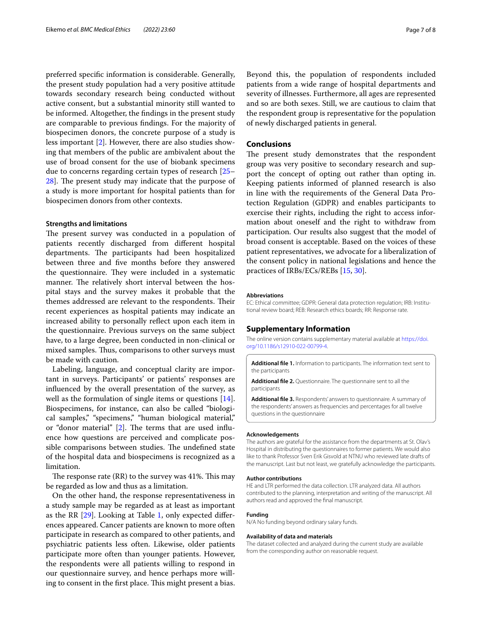preferred specifc information is considerable. Generally, the present study population had a very positive attitude towards secondary research being conducted without active consent, but a substantial minority still wanted to be informed. Altogether, the fndings in the present study are comparable to previous fndings. For the majority of biospecimen donors, the concrete purpose of a study is less important [[2\]](#page-7-1). However, there are also studies showing that members of the public are ambivalent about the use of broad consent for the use of biobank specimens due to concerns regarding certain types of research [[25–](#page-7-22) [28\]](#page-7-23). The present study may indicate that the purpose of a study is more important for hospital patients than for biospecimen donors from other contexts.

## **Strengths and limitations**

The present survey was conducted in a population of patients recently discharged from diferent hospital departments. The participants had been hospitalized between three and fve months before they answered the questionnaire. They were included in a systematic manner. The relatively short interval between the hospital stays and the survey makes it probable that the themes addressed are relevant to the respondents. Their recent experiences as hospital patients may indicate an increased ability to personally refect upon each item in the questionnaire. Previous surveys on the same subject have, to a large degree, been conducted in non-clinical or mixed samples. Thus, comparisons to other surveys must be made with caution.

Labeling, language, and conceptual clarity are important in surveys. Participants' or patients' responses are infuenced by the overall presentation of the survey, as well as the formulation of single items or questions [\[14](#page-7-11)]. Biospecimens, for instance, can also be called "biological samples," "specimens," "human biological material," or "donor material"  $[2]$  $[2]$ . The terms that are used influence how questions are perceived and complicate possible comparisons between studies. The undefined state of the hospital data and biospecimens is recognized as a limitation.

The response rate  $(RR)$  to the survey was 41%. This may be regarded as low and thus as a limitation.

On the other hand, the response representativeness in a study sample may be regarded as at least as important as the RR [\[29\]](#page-7-24). Looking at Table [1](#page-3-0), only expected diferences appeared. Cancer patients are known to more often participate in research as compared to other patients, and psychiatric patients less often. Likewise, older patients participate more often than younger patients. However, the respondents were all patients willing to respond in our questionnaire survey, and hence perhaps more willing to consent in the first place. This might present a bias.

Beyond this, the population of respondents included patients from a wide range of hospital departments and severity of illnesses. Furthermore, all ages are represented and so are both sexes. Still, we are cautious to claim that the respondent group is representative for the population of newly discharged patients in general.

## **Conclusions**

The present study demonstrates that the respondent group was very positive to secondary research and support the concept of opting out rather than opting in. Keeping patients informed of planned research is also in line with the requirements of the General Data Protection Regulation (GDPR) and enables participants to exercise their rights, including the right to access information about oneself and the right to withdraw from participation. Our results also suggest that the model of broad consent is acceptable. Based on the voices of these patient representatives, we advocate for a liberalization of the consent policy in national legislations and hence the practices of IRBs/ECs/REBs [\[15](#page-7-12), [30\]](#page-7-25).

#### **Abbreviations**

EC: Ethical committee; GDPR: General data protection regulation; IRB: Institutional review board; REB: Research ethics boards; RR: Response rate.

### **Supplementary Information**

The online version contains supplementary material available at [https://doi.](https://doi.org/10.1186/s12910-022-00799-4) [org/10.1186/s12910-022-00799-4](https://doi.org/10.1186/s12910-022-00799-4).

<span id="page-6-1"></span><span id="page-6-0"></span>**Additional fle 1.** Information to participants. The information text sent to the participants

<span id="page-6-2"></span>**Additional fle 2.** Questionnaire. The questionnaire sent to all the participants

**Additional fle 3.** Respondents' answers to questionnaire. A summary of the respondents' answers as frequencies and percentages for all twelve questions in the questionnaire

#### **Acknowledgements**

The authors are grateful for the assistance from the departments at St. Olav's Hospital in distributing the questionnaires to former patients. We would also like to thank Professor Sven Erik Gisvold at NTNU who reviewed late drafts of the manuscript. Last but not least, we gratefully acknowledge the participants.

#### **Author contributions**

HE and LTR performed the data collection. LTR analyzed data. All authors contributed to the planning, interpretation and writing of the manuscript. All authors read and approved the fnal manuscript.

### **Funding**

N/A No funding beyond ordinary salary funds.

#### **Availability of data and materials**

The dataset collected and analyzed during the current study are available from the corresponding author on reasonable request.